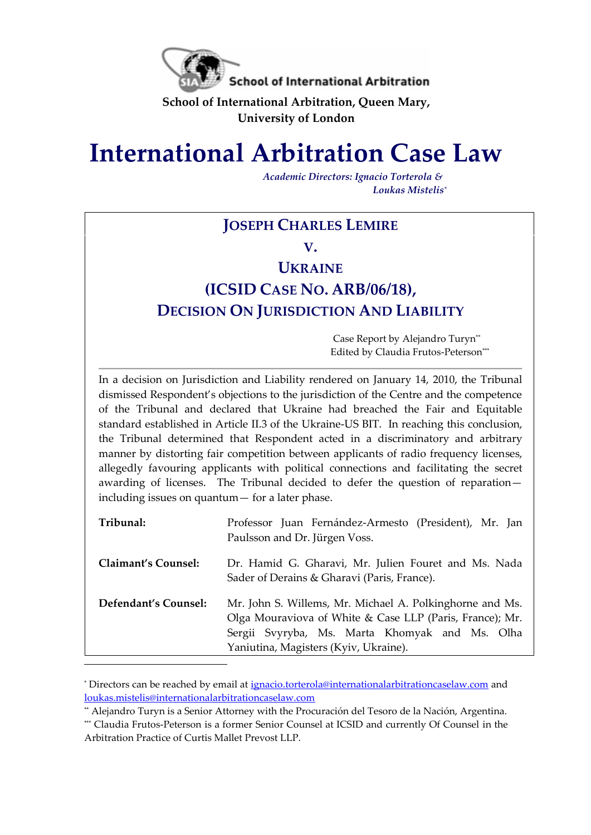

**School of International Arbitration, Queen Mary, University of London**

# **International Arbitration Case Law**

*Academic Directors: Ignacio Torterola & Loukas Mistelis\**

# **JOSEPH CHARLES LEMIRE**

**V.**

# **UKRAINE**

# **(ICSID CASE NO. ARB/06/18), DECISION ON JURISDICTION AND LIABILITY**

Case Report by Alejandro Turyn\*\* Edited by Claudia Frutos-Peterson\*\*\*

In a decision on Jurisdiction and Liability rendered on January 14, 2010, the Tribunal dismissed Respondent's objections to the jurisdiction of the Centre and the competence of the Tribunal and declared that Ukraine had breached the Fair and Equitable standard established in Article II.3 of the Ukraine-US BIT. In reaching this conclusion, the Tribunal determined that Respondent acted in a discriminatory and arbitrary manner by distorting fair competition between applicants of radio frequency licenses, allegedly favouring applicants with political connections and facilitating the secret awarding of licenses. The Tribunal decided to defer the question of reparation including issues on quantum— for a later phase.

| Tribunal:            | Professor Juan Fernández-Armesto (President), Mr. Jan<br>Paulsson and Dr. Jürgen Voss.                                                                                                                          |
|----------------------|-----------------------------------------------------------------------------------------------------------------------------------------------------------------------------------------------------------------|
| Claimant's Counsel:  | Dr. Hamid G. Gharavi, Mr. Julien Fouret and Ms. Nada<br>Sader of Derains & Gharavi (Paris, France).                                                                                                             |
| Defendant's Counsel: | Mr. John S. Willems, Mr. Michael A. Polkinghorne and Ms.<br>Olga Mouraviova of White & Case LLP (Paris, France); Mr.<br>Sergii Svyryba, Ms. Marta Khomyak and Ms. Olha<br>Yaniutina, Magisters (Kyiv, Ukraine). |

<sup>\*</sup> Directors can be reached by email at [ignacio.torterola@internationalarbitrationcaselaw.com](mailto:ignacio.torterola@internationalarbitrationcaselaw.com) and [loukas.mistelis@internationalarbitrationcaselaw.com](mailto:loukas.mistelis@internationalarbitrationcaselaw.com) 

÷.

<sup>\*\*</sup> Alejandro Turyn is a Senior Attorney with the Procuración del Tesoro de la Nación, Argentina.

<sup>\*\*\*</sup> Claudia Frutos-Peterson is a former Senior Counsel at ICSID and currently Of Counsel in the Arbitration Practice of Curtis Mallet Prevost LLP.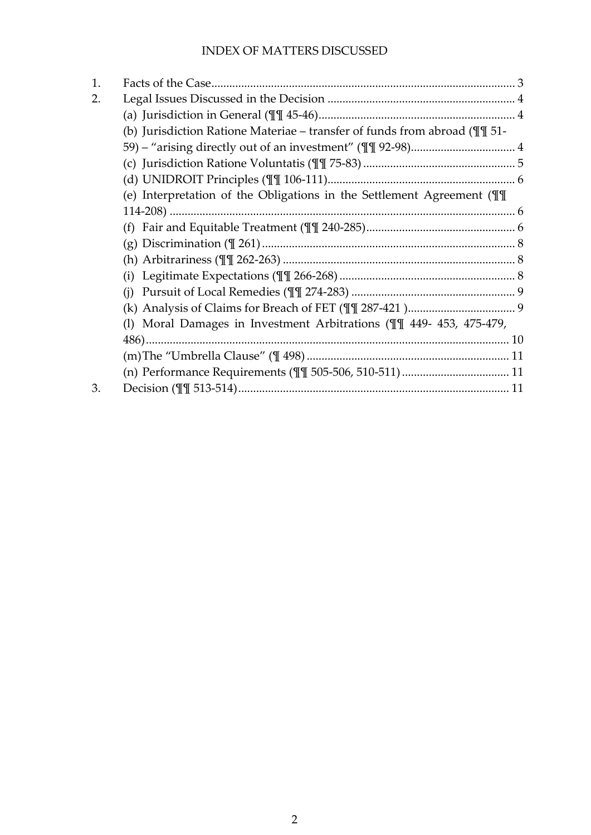# INDEX OF MATTERS DISCUSSED

| 1. |                                                                                      |  |
|----|--------------------------------------------------------------------------------------|--|
| 2. |                                                                                      |  |
|    |                                                                                      |  |
|    | (b) Jurisdiction Ratione Materiae – transfer of funds from abroad ( $\mathbb{I}$ 51- |  |
|    |                                                                                      |  |
|    |                                                                                      |  |
|    |                                                                                      |  |
|    | (e) Interpretation of the Obligations in the Settlement Agreement ( $\P$             |  |
|    |                                                                                      |  |
|    |                                                                                      |  |
|    |                                                                                      |  |
|    |                                                                                      |  |
|    |                                                                                      |  |
|    | (i)                                                                                  |  |
|    |                                                                                      |  |
|    | (I) Moral Damages in Investment Arbitrations (II 449- 453, 475-479,                  |  |
|    |                                                                                      |  |
|    |                                                                                      |  |
|    |                                                                                      |  |
| 3. |                                                                                      |  |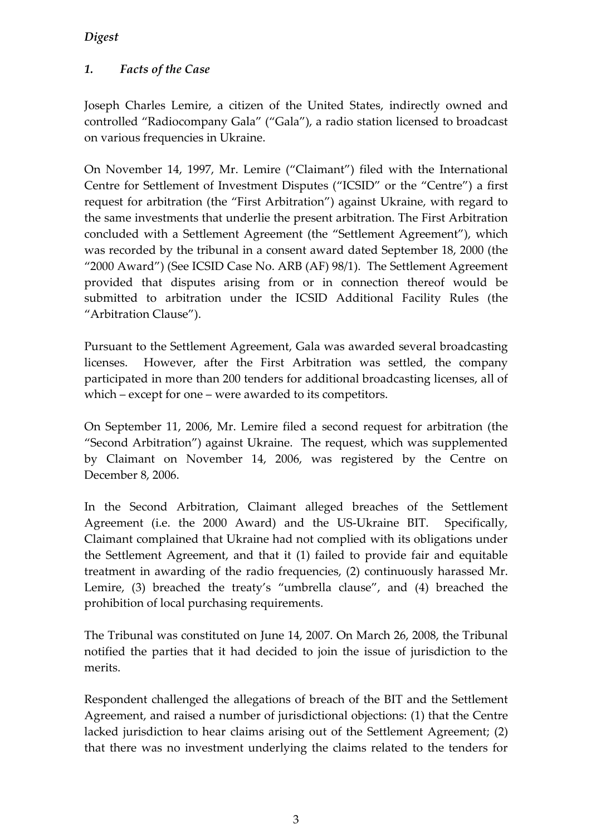#### *Digest*

# <span id="page-2-0"></span>*1. Facts of the Case*

Joseph Charles Lemire, a citizen of the United States, indirectly owned and controlled "Radiocompany Gala" ("Gala"), a radio station licensed to broadcast on various frequencies in Ukraine.

On November 14, 1997, Mr. Lemire ("Claimant") filed with the International Centre for Settlement of Investment Disputes ("ICSID" or the "Centre") a first request for arbitration (the "First Arbitration") against Ukraine, with regard to the same investments that underlie the present arbitration. The First Arbitration concluded with a Settlement Agreement (the "Settlement Agreement"), which was recorded by the tribunal in a consent award dated September 18, 2000 (the "2000 Award") (See ICSID Case No. ARB (AF) 98/1). The Settlement Agreement provided that disputes arising from or in connection thereof would be submitted to arbitration under the ICSID Additional Facility Rules (the "Arbitration Clause").

Pursuant to the Settlement Agreement, Gala was awarded several broadcasting licenses. However, after the First Arbitration was settled, the company participated in more than 200 tenders for additional broadcasting licenses, all of which – except for one – were awarded to its competitors.

On September 11, 2006, Mr. Lemire filed a second request for arbitration (the "Second Arbitration") against Ukraine. The request, which was supplemented by Claimant on November 14, 2006, was registered by the Centre on December 8, 2006.

In the Second Arbitration, Claimant alleged breaches of the Settlement Agreement (i.e. the 2000 Award) and the US-Ukraine BIT. Specifically, Claimant complained that Ukraine had not complied with its obligations under the Settlement Agreement, and that it (1) failed to provide fair and equitable treatment in awarding of the radio frequencies, (2) continuously harassed Mr. Lemire, (3) breached the treaty's "umbrella clause", and (4) breached the prohibition of local purchasing requirements.

The Tribunal was constituted on June 14, 2007. On March 26, 2008, the Tribunal notified the parties that it had decided to join the issue of jurisdiction to the merits.

Respondent challenged the allegations of breach of the BIT and the Settlement Agreement, and raised a number of jurisdictional objections: (1) that the Centre lacked jurisdiction to hear claims arising out of the Settlement Agreement; (2) that there was no investment underlying the claims related to the tenders for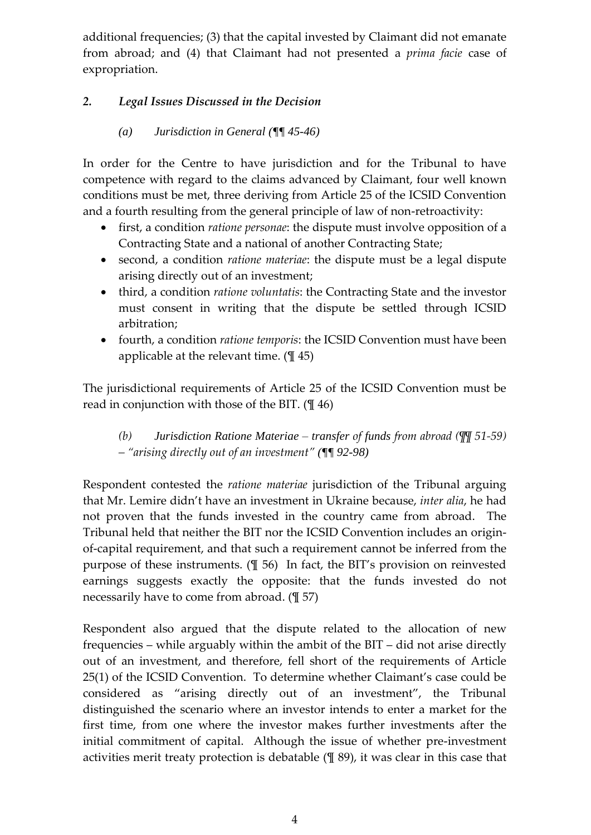additional frequencies; (3) that the capital invested by Claimant did not emanate from abroad; and (4) that Claimant had not presented a *prima facie* case of expropriation.

# <span id="page-3-0"></span>*2. Legal Issues Discussed in the Decision*

#### *(a) Jurisdiction in General (¶¶ 45-46)*

<span id="page-3-1"></span>In order for the Centre to have jurisdiction and for the Tribunal to have competence with regard to the claims advanced by Claimant, four well known conditions must be met, three deriving from Article 25 of the ICSID Convention and a fourth resulting from the general principle of law of non-retroactivity:

- first, a condition *ratione personae*: the dispute must involve opposition of a Contracting State and a national of another Contracting State;
- second, a condition *ratione materiae*: the dispute must be a legal dispute arising directly out of an investment;
- third, a condition *ratione voluntatis*: the Contracting State and the investor must consent in writing that the dispute be settled through ICSID arbitration;
- fourth, a condition *ratione temporis*: the ICSID Convention must have been applicable at the relevant time.  $(\frac{1}{2}45)$

The jurisdictional requirements of Article 25 of the ICSID Convention must be read in conjunction with those of the BIT. (¶ 46)

# <span id="page-3-2"></span>*(b) Jurisdiction Ratione Materiae – transfer of funds from abroad (¶¶ 51-59) – "arising directly out of an investment" (¶¶ 92-98)*

Respondent contested the *ratione materiae* jurisdiction of the Tribunal arguing that Mr. Lemire didn't have an investment in Ukraine because, *inter alia*, he had not proven that the funds invested in the country came from abroad. The Tribunal held that neither the BIT nor the ICSID Convention includes an originof-capital requirement, and that such a requirement cannot be inferred from the purpose of these instruments. (¶ 56) In fact, the BIT's provision on reinvested earnings suggests exactly the opposite: that the funds invested do not necessarily have to come from abroad. (¶ 57)

Respondent also argued that the dispute related to the allocation of new frequencies – while arguably within the ambit of the BIT – did not arise directly out of an investment, and therefore, fell short of the requirements of Article 25(1) of the ICSID Convention. To determine whether Claimant's case could be considered as "arising directly out of an investment", the Tribunal distinguished the scenario where an investor intends to enter a market for the first time, from one where the investor makes further investments after the initial commitment of capital. Although the issue of whether pre-investment activities merit treaty protection is debatable (¶ 89), it was clear in this case that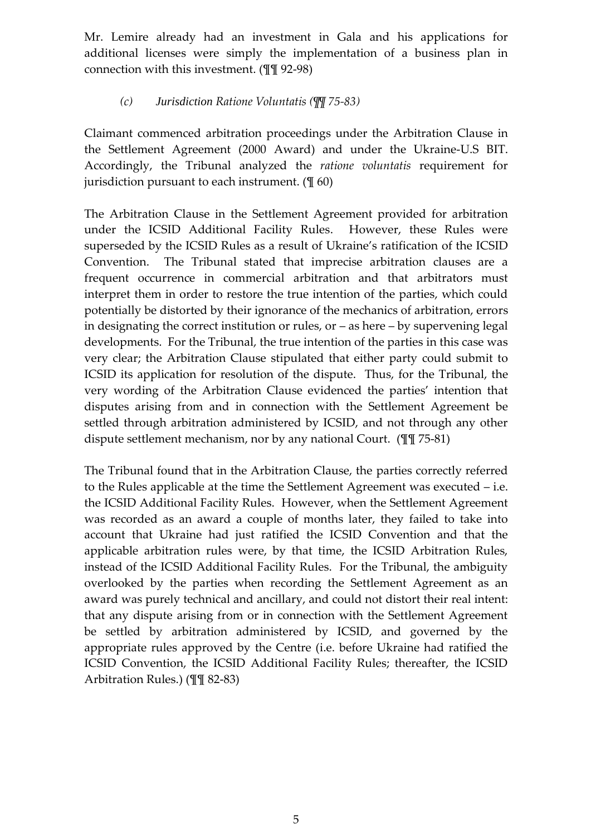Mr. Lemire already had an investment in Gala and his applications for additional licenses were simply the implementation of a business plan in connection with this investment. (¶¶ 92-98)

#### *(c) Jurisdiction Ratione Voluntatis (¶¶ 75-83)*

<span id="page-4-0"></span>Claimant commenced arbitration proceedings under the Arbitration Clause in the Settlement Agreement (2000 Award) and under the Ukraine-U.S BIT. Accordingly, the Tribunal analyzed the *ratione voluntatis* requirement for jurisdiction pursuant to each instrument. (¶ 60)

The Arbitration Clause in the Settlement Agreement provided for arbitration under the ICSID Additional Facility Rules. However, these Rules were superseded by the ICSID Rules as a result of Ukraine's ratification of the ICSID Convention. The Tribunal stated that imprecise arbitration clauses are a frequent occurrence in commercial arbitration and that arbitrators must interpret them in order to restore the true intention of the parties, which could potentially be distorted by their ignorance of the mechanics of arbitration, errors in designating the correct institution or rules, or – as here – by supervening legal developments. For the Tribunal, the true intention of the parties in this case was very clear; the Arbitration Clause stipulated that either party could submit to ICSID its application for resolution of the dispute. Thus, for the Tribunal, the very wording of the Arbitration Clause evidenced the parties' intention that disputes arising from and in connection with the Settlement Agreement be settled through arbitration administered by ICSID, and not through any other dispute settlement mechanism, nor by any national Court. (¶¶ 75-81)

The Tribunal found that in the Arbitration Clause, the parties correctly referred to the Rules applicable at the time the Settlement Agreement was executed – i.e. the ICSID Additional Facility Rules. However, when the Settlement Agreement was recorded as an award a couple of months later, they failed to take into account that Ukraine had just ratified the ICSID Convention and that the applicable arbitration rules were, by that time, the ICSID Arbitration Rules, instead of the ICSID Additional Facility Rules. For the Tribunal, the ambiguity overlooked by the parties when recording the Settlement Agreement as an award was purely technical and ancillary, and could not distort their real intent: that any dispute arising from or in connection with the Settlement Agreement be settled by arbitration administered by ICSID, and governed by the appropriate rules approved by the Centre (i.e. before Ukraine had ratified the ICSID Convention, the ICSID Additional Facility Rules; thereafter, the ICSID Arbitration Rules.) (¶¶ 82-83)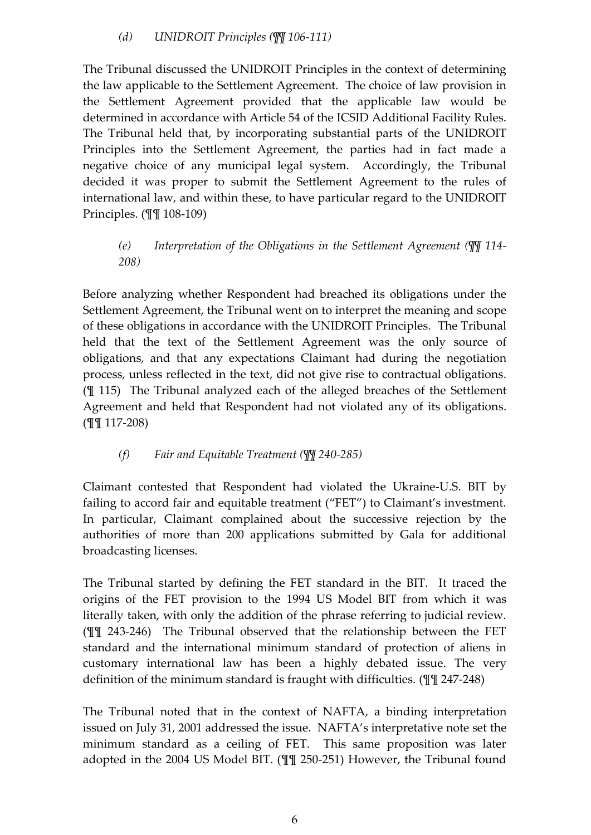<span id="page-5-0"></span>The Tribunal discussed the UNIDROIT Principles in the context of determining the law applicable to the Settlement Agreement. The choice of law provision in the Settlement Agreement provided that the applicable law would be determined in accordance with Article 54 of the ICSID Additional Facility Rules. The Tribunal held that, by incorporating substantial parts of the UNIDROIT Principles into the Settlement Agreement, the parties had in fact made a negative choice of any municipal legal system. Accordingly, the Tribunal decided it was proper to submit the Settlement Agreement to the rules of international law, and within these, to have particular regard to the UNIDROIT Principles. (¶¶ 108-109)

# <span id="page-5-1"></span>*(e) Interpretation of the Obligations in the Settlement Agreement (¶¶ 114- 208)*

Before analyzing whether Respondent had breached its obligations under the Settlement Agreement, the Tribunal went on to interpret the meaning and scope of these obligations in accordance with the UNIDROIT Principles. The Tribunal held that the text of the Settlement Agreement was the only source of obligations, and that any expectations Claimant had during the negotiation process, unless reflected in the text, did not give rise to contractual obligations. (¶ 115) The Tribunal analyzed each of the alleged breaches of the Settlement Agreement and held that Respondent had not violated any of its obligations. (¶¶ 117-208)

# *(f) Fair and Equitable Treatment (¶¶ 240-285)*

<span id="page-5-2"></span>Claimant contested that Respondent had violated the Ukraine-U.S. BIT by failing to accord fair and equitable treatment ("FET") to Claimant's investment. In particular, Claimant complained about the successive rejection by the authorities of more than 200 applications submitted by Gala for additional broadcasting licenses.

The Tribunal started by defining the FET standard in the BIT. It traced the origins of the FET provision to the 1994 US Model BIT from which it was literally taken, with only the addition of the phrase referring to judicial review. (¶¶ 243-246) The Tribunal observed that the relationship between the FET standard and the international minimum standard of protection of aliens in customary international law has been a highly debated issue. The very definition of the minimum standard is fraught with difficulties. (¶¶ 247-248)

The Tribunal noted that in the context of NAFTA, a binding interpretation issued on July 31, 2001 addressed the issue. NAFTA's interpretative note set the minimum standard as a ceiling of FET. This same proposition was later adopted in the 2004 US Model BIT. (¶¶ 250-251) However, the Tribunal found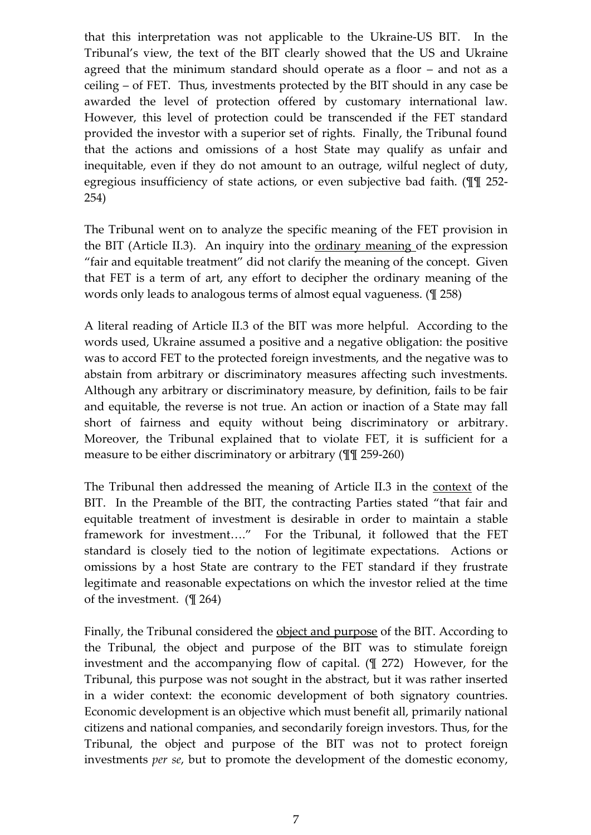that this interpretation was not applicable to the Ukraine-US BIT. In the Tribunal's view, the text of the BIT clearly showed that the US and Ukraine agreed that the minimum standard should operate as a floor – and not as a ceiling – of FET. Thus, investments protected by the BIT should in any case be awarded the level of protection offered by customary international law. However, this level of protection could be transcended if the FET standard provided the investor with a superior set of rights. Finally, the Tribunal found that the actions and omissions of a host State may qualify as unfair and inequitable, even if they do not amount to an outrage, wilful neglect of duty, egregious insufficiency of state actions, or even subjective bad faith. (¶¶ 252- 254)

The Tribunal went on to analyze the specific meaning of the FET provision in the BIT (Article II.3). An inquiry into the ordinary meaning of the expression "fair and equitable treatment" did not clarify the meaning of the concept. Given that FET is a term of art, any effort to decipher the ordinary meaning of the words only leads to analogous terms of almost equal vagueness. (¶ 258)

A literal reading of Article II.3 of the BIT was more helpful. According to the words used, Ukraine assumed a positive and a negative obligation: the positive was to accord FET to the protected foreign investments, and the negative was to abstain from arbitrary or discriminatory measures affecting such investments. Although any arbitrary or discriminatory measure, by definition, fails to be fair and equitable, the reverse is not true. An action or inaction of a State may fall short of fairness and equity without being discriminatory or arbitrary. Moreover, the Tribunal explained that to violate FET, it is sufficient for a measure to be either discriminatory or arbitrary (¶¶ 259-260)

The Tribunal then addressed the meaning of Article II.3 in the context of the BIT. In the Preamble of the BIT, the contracting Parties stated "that fair and equitable treatment of investment is desirable in order to maintain a stable framework for investment...." For the Tribunal, it followed that the FET standard is closely tied to the notion of legitimate expectations. Actions or omissions by a host State are contrary to the FET standard if they frustrate legitimate and reasonable expectations on which the investor relied at the time of the investment. (¶ 264)

Finally, the Tribunal considered the object and purpose of the BIT. According to the Tribunal, the object and purpose of the BIT was to stimulate foreign investment and the accompanying flow of capital. (¶ 272) However, for the Tribunal, this purpose was not sought in the abstract, but it was rather inserted in a wider context: the economic development of both signatory countries. Economic development is an objective which must benefit all, primarily national citizens and national companies, and secondarily foreign investors. Thus, for the Tribunal, the object and purpose of the BIT was not to protect foreign investments *per se*, but to promote the development of the domestic economy,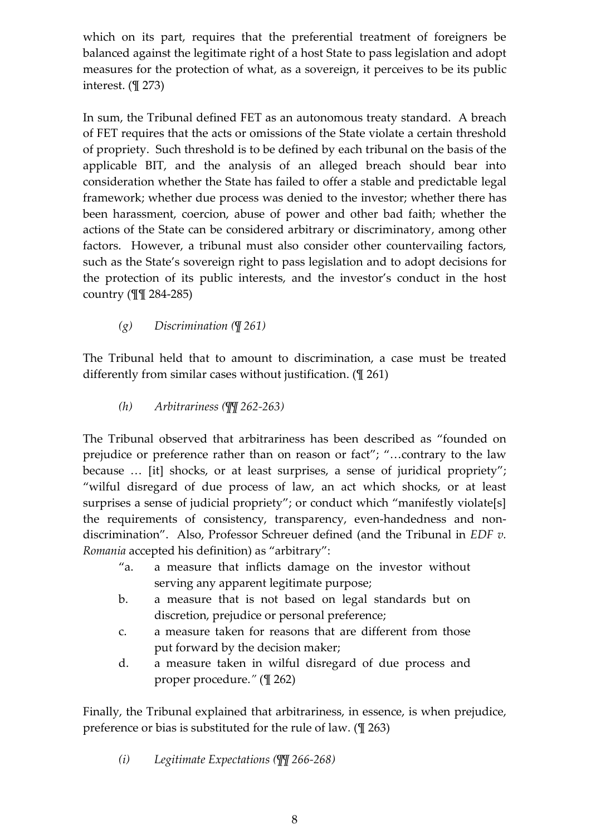which on its part, requires that the preferential treatment of foreigners be balanced against the legitimate right of a host State to pass legislation and adopt measures for the protection of what, as a sovereign, it perceives to be its public interest. (¶ 273)

In sum, the Tribunal defined FET as an autonomous treaty standard. A breach of FET requires that the acts or omissions of the State violate a certain threshold of propriety. Such threshold is to be defined by each tribunal on the basis of the applicable BIT, and the analysis of an alleged breach should bear into consideration whether the State has failed to offer a stable and predictable legal framework; whether due process was denied to the investor; whether there has been harassment, coercion, abuse of power and other bad faith; whether the actions of the State can be considered arbitrary or discriminatory, among other factors. However, a tribunal must also consider other countervailing factors, such as the State's sovereign right to pass legislation and to adopt decisions for the protection of its public interests, and the investor's conduct in the host country (¶¶ 284-285)

*(g) Discrimination (¶ 261)*

<span id="page-7-0"></span>The Tribunal held that to amount to discrimination, a case must be treated differently from similar cases without justification. (¶ 261)

*(h) Arbitrariness (¶¶ 262-263)*

<span id="page-7-1"></span>The Tribunal observed that arbitrariness has been described as "founded on prejudice or preference rather than on reason or fact"; "...contrary to the law because ... [it] shocks, or at least surprises, a sense of juridical propriety"; "wilful disregard of due process of law, an act which shocks, or at least surprises a sense of judicial propriety"; or conduct which "manifestly violate[s] the requirements of consistency, transparency, even-handedness and nondiscrimination". Also, Professor Schreuer defined (and the Tribunal in *EDF v. Romania* accepted his definition) as "arbitrary":

- "a. a measure that inflicts damage on the investor without serving any apparent legitimate purpose;
- b. a measure that is not based on legal standards but on discretion, prejudice or personal preference;
- c. a measure taken for reasons that are different from those put forward by the decision maker;
- d. a measure taken in wilful disregard of due process and proper procedure.*"* (¶ 262)

Finally, the Tribunal explained that arbitrariness, in essence, is when prejudice, preference or bias is substituted for the rule of law. (¶ 263)

<span id="page-7-2"></span>*(i) Legitimate Expectations (¶¶ 266-268)*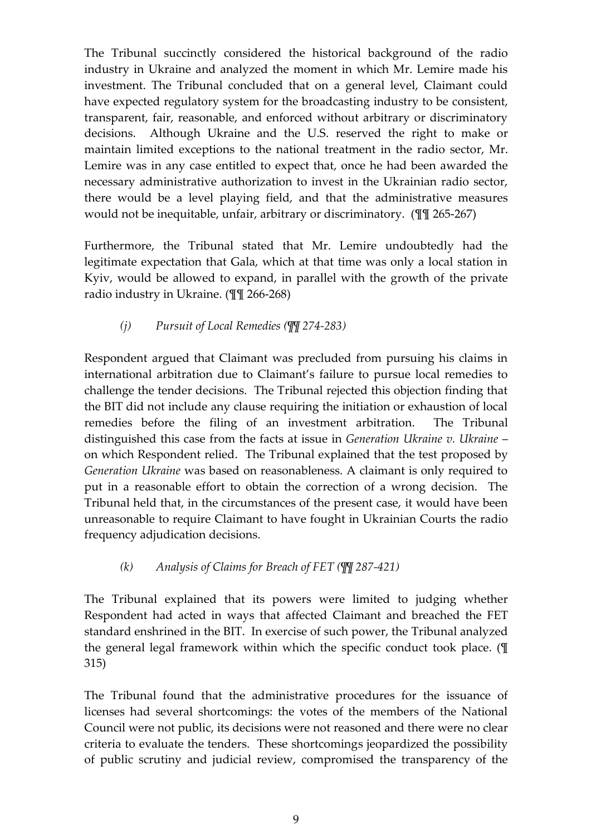The Tribunal succinctly considered the historical background of the radio industry in Ukraine and analyzed the moment in which Mr. Lemire made his investment. The Tribunal concluded that on a general level, Claimant could have expected regulatory system for the broadcasting industry to be consistent, transparent, fair, reasonable, and enforced without arbitrary or discriminatory decisions. Although Ukraine and the U.S. reserved the right to make or maintain limited exceptions to the national treatment in the radio sector, Mr. Lemire was in any case entitled to expect that, once he had been awarded the necessary administrative authorization to invest in the Ukrainian radio sector, there would be a level playing field, and that the administrative measures would not be inequitable, unfair, arbitrary or discriminatory. (¶¶ 265-267)

Furthermore, the Tribunal stated that Mr. Lemire undoubtedly had the legitimate expectation that Gala, which at that time was only a local station in Kyiv, would be allowed to expand, in parallel with the growth of the private radio industry in Ukraine. (¶¶ 266-268)

# *(j) Pursuit of Local Remedies (¶¶ 274-283)*

<span id="page-8-0"></span>Respondent argued that Claimant was precluded from pursuing his claims in international arbitration due to Claimant's failure to pursue local remedies to challenge the tender decisions. The Tribunal rejected this objection finding that the BIT did not include any clause requiring the initiation or exhaustion of local remedies before the filing of an investment arbitration. The Tribunal distinguished this case from the facts at issue in *Generation Ukraine v. Ukraine* – on which Respondent relied. The Tribunal explained that the test proposed by *Generation Ukraine* was based on reasonableness. A claimant is only required to put in a reasonable effort to obtain the correction of a wrong decision. The Tribunal held that, in the circumstances of the present case, it would have been unreasonable to require Claimant to have fought in Ukrainian Courts the radio frequency adjudication decisions.

# *(k) Analysis of Claims for Breach of FET (¶¶ 287-421)*

<span id="page-8-1"></span>The Tribunal explained that its powers were limited to judging whether Respondent had acted in ways that affected Claimant and breached the FET standard enshrined in the BIT. In exercise of such power, the Tribunal analyzed the general legal framework within which the specific conduct took place. (¶ 315)

The Tribunal found that the administrative procedures for the issuance of licenses had several shortcomings: the votes of the members of the National Council were not public, its decisions were not reasoned and there were no clear criteria to evaluate the tenders. These shortcomings jeopardized the possibility of public scrutiny and judicial review, compromised the transparency of the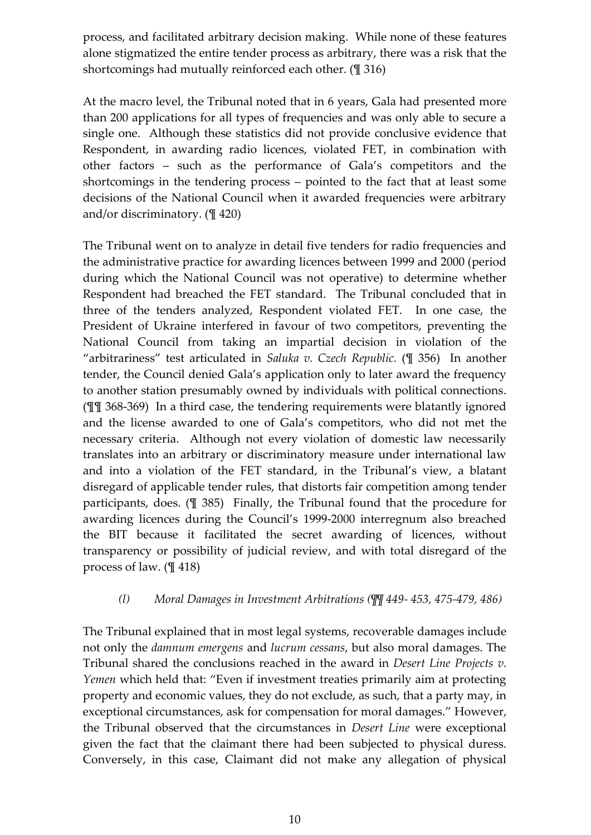process, and facilitated arbitrary decision making. While none of these features alone stigmatized the entire tender process as arbitrary, there was a risk that the shortcomings had mutually reinforced each other. (¶ 316)

At the macro level, the Tribunal noted that in 6 years, Gala had presented more than 200 applications for all types of frequencies and was only able to secure a single one. Although these statistics did not provide conclusive evidence that Respondent, in awarding radio licences, violated FET, in combination with other factors – such as the performance of Gala's competitors and the shortcomings in the tendering process – pointed to the fact that at least some decisions of the National Council when it awarded frequencies were arbitrary and/or discriminatory. (¶ 420)

The Tribunal went on to analyze in detail five tenders for radio frequencies and the administrative practice for awarding licences between 1999 and 2000 (period during which the National Council was not operative) to determine whether Respondent had breached the FET standard. The Tribunal concluded that in three of the tenders analyzed, Respondent violated FET. In one case, the President of Ukraine interfered in favour of two competitors, preventing the National Council from taking an impartial decision in violation of the "arbitrariness" test articulated in *Saluka v. Czech Republic.* (¶ 356) In another tender, the Council denied Gala's application only to later award the frequency to another station presumably owned by individuals with political connections. (¶¶ 368-369) In a third case, the tendering requirements were blatantly ignored and the license awarded to one of Gala's competitors, who did not met the necessary criteria. Although not every violation of domestic law necessarily translates into an arbitrary or discriminatory measure under international law and into a violation of the FET standard, in the Tribunal's view, a blatant disregard of applicable tender rules, that distorts fair competition among tender participants, does. (¶ 385) Finally, the Tribunal found that the procedure for awarding licences during the Council's 1999-2000 interregnum also breached the BIT because it facilitated the secret awarding of licences, without transparency or possibility of judicial review, and with total disregard of the process of law. (¶ 418)

#### *(l) Moral Damages in Investment Arbitrations (¶¶ 449- 453, 475-479, 486)*

<span id="page-9-0"></span>The Tribunal explained that in most legal systems, recoverable damages include not only the *damnum emergens* and *lucrum cessans*, but also moral damages. The Tribunal shared the conclusions reached in the award in *Desert Line Projects v. Yemen* which held that: "Even if investment treaties primarily aim at protecting property and economic values, they do not exclude, as such, that a party may, in exceptional circumstances, ask for compensation for moral damages." However, the Tribunal observed that the circumstances in *Desert Line* were exceptional given the fact that the claimant there had been subjected to physical duress. Conversely, in this case, Claimant did not make any allegation of physical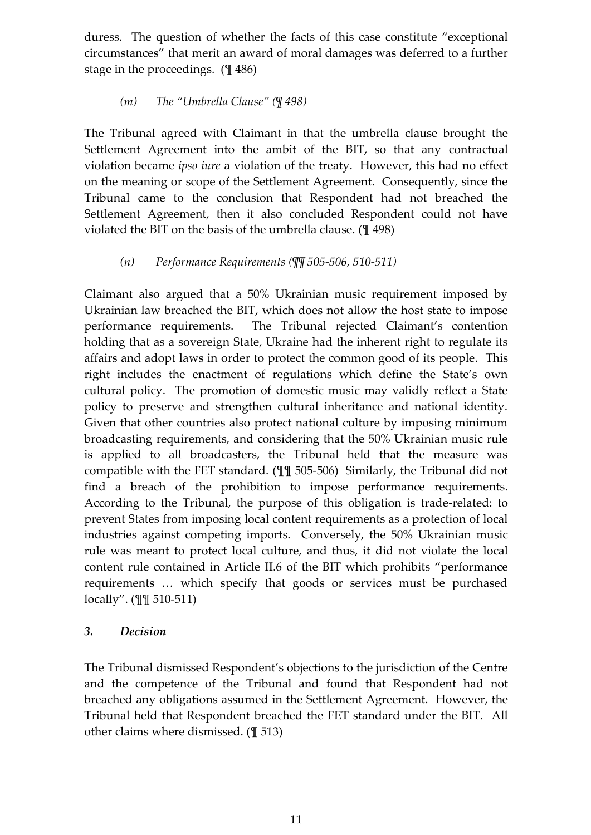duress. The question of whether the facts of this case constitute "exceptional circumstances" that merit an award of moral damages was deferred to a further stage in the proceedings. (¶ 486)

#### *(m) The "Umbrella Clause" (¶ 498)*

<span id="page-10-0"></span>The Tribunal agreed with Claimant in that the umbrella clause brought the Settlement Agreement into the ambit of the BIT, so that any contractual violation became *ipso iure* a violation of the treaty. However, this had no effect on the meaning or scope of the Settlement Agreement. Consequently, since the Tribunal came to the conclusion that Respondent had not breached the Settlement Agreement, then it also concluded Respondent could not have violated the BIT on the basis of the umbrella clause. (¶ 498)

# *(n) Performance Requirements (¶¶ 505-506, 510-511)*

<span id="page-10-1"></span>Claimant also argued that a 50% Ukrainian music requirement imposed by Ukrainian law breached the BIT, which does not allow the host state to impose performance requirements. The Tribunal rejected Claimant's contention holding that as a sovereign State, Ukraine had the inherent right to regulate its affairs and adopt laws in order to protect the common good of its people. This right includes the enactment of regulations which define the State's own cultural policy. The promotion of domestic music may validly reflect a State policy to preserve and strengthen cultural inheritance and national identity. Given that other countries also protect national culture by imposing minimum broadcasting requirements, and considering that the 50% Ukrainian music rule is applied to all broadcasters, the Tribunal held that the measure was compatible with the FET standard. (¶¶ 505-506) Similarly, the Tribunal did not find a breach of the prohibition to impose performance requirements. According to the Tribunal, the purpose of this obligation is trade-related: to prevent States from imposing local content requirements as a protection of local industries against competing imports. Conversely, the 50% Ukrainian music rule was meant to protect local culture, and thus, it did not violate the local content rule contained in Article II.6 of the BIT which prohibits "performance requirements ... which specify that goods or services must be purchased locally". (¶¶ 510-511)

#### <span id="page-10-2"></span>*3. Decision*

The Tribunal dismissed Respondent's objections to the jurisdiction of the Centre and the competence of the Tribunal and found that Respondent had not breached any obligations assumed in the Settlement Agreement. However, the Tribunal held that Respondent breached the FET standard under the BIT. All other claims where dismissed. (¶ 513)